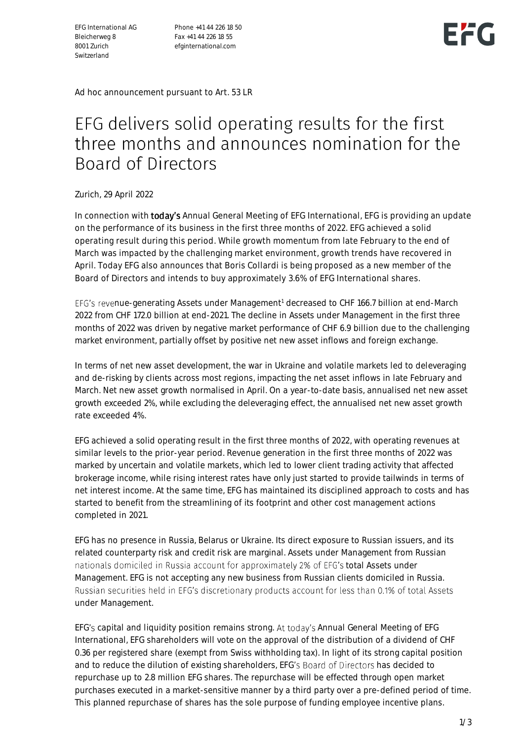EFG International AG Bleicherweg 8 8001 Zurich Switzerland

Phone +41 44 226 18 50 Fax +41 44 226 18 55 efginternational.com



Ad hoc announcement pursuant to Art. 53 LR

# EFG delivers solid operating results for the first three months and announces nomination for the **Board of Directors**

Zurich, 29 April 2022

In connection with **today's** Annual General Meeting of EFG International, EFG is providing an update on the performance of its business in the first three months of 2022. EFG achieved a solid operating result during this period. While growth momentum from late February to the end of March was impacted by the challenging market environment, growth trends have recovered in April. Today EFG also announces that Boris Collardi is being proposed as a new member of the Board of Directors and intends to buy approximately 3.6% of EFG International shares.

EFG's revenue-generating Assets under Management<sup>1</sup> decreased to CHF 166.7 billion at end-March 2022 from CHF 172.0 billion at end-2021. The decline in Assets under Management in the first three months of 2022 was driven by negative market performance of CHF 6.9 billion due to the challenging market environment, partially offset by positive net new asset inflows and foreign exchange.

In terms of net new asset development, the war in Ukraine and volatile markets led to deleveraging and de-risking by clients across most regions, impacting the net asset inflows in late February and March. Net new asset growth normalised in April. On a year-to-date basis, annualised net new asset growth exceeded 2%, while excluding the deleveraging effect, the annualised net new asset growth rate exceeded 4%.

EFG achieved a solid operating result in the first three months of 2022, with operating revenues at similar levels to the prior-year period. Revenue generation in the first three months of 2022 was marked by uncertain and volatile markets, which led to lower client trading activity that affected brokerage income, while rising interest rates have only just started to provide tailwinds in terms of net interest income. At the same time, EFG has maintained its disciplined approach to costs and has started to benefit from the streamlining of its footprint and other cost management actions completed in 2021.

EFG has no presence in Russia, Belarus or Ukraine. Its direct exposure to Russian issuers, and its related counterparty risk and credit risk are marginal. Assets under Management from Russian nationals domiciled in Russia account for approximately 2% of EFG's total Assets under Management. EFG is not accepting any new business from Russian clients domiciled in Russia. Russian securities held in EFG's discretionary products account for less than 0.1% of total Assets under Management.

EFG's capital and liquidity position remains strong. At today's Annual General Meeting of EFG International, EFG shareholders will vote on the approval of the distribution of a dividend of CHF 0.36 per registered share (exempt from Swiss withholding tax). In light of its strong capital position and to reduce the dilution of existing shareholders, EFG's Board of Directors has decided to repurchase up to 2.8 million EFG shares. The repurchase will be effected through open market purchases executed in a market-sensitive manner by a third party over a pre-defined period of time. This planned repurchase of shares has the sole purpose of funding employee incentive plans.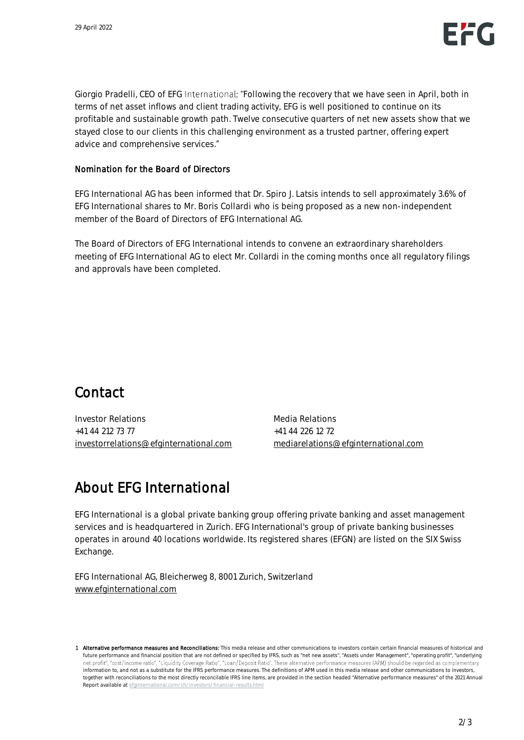Giorgio Pradelli, CEO of EFG International: "Following the recovery that we have seen in April, both in terms of net asset inflows and client trading activity, EFG is well positioned to continue on its profitable and sustainable growth path. Twelve consecutive quarters of net new assets show that we stayed close to our clients in this challenging environment as a trusted partner, offering expert advice and comprehensive services.

#### Nomination for the Board of Directors

EFG International AG has been informed that Dr. Spiro J. Latsis intends to sell approximately 3.6% of EFG International shares to Mr. Boris Collardi who is being proposed as a new non-independent member of the Board of Directors of EFG International AG.

The Board of Directors of EFG International intends to convene an extraordinary shareholders meeting of EFG International AG to elect Mr. Collardi in the coming months once all regulatory filings and approvals have been completed.

#### Contact

Investor Relations +41 44 212 73 77 [investorrelations@efginternational.com](mailto:investorrelations@efginternational.com) Media Relations +41 44 226 12 72 [mediarelations@efginternational.com](mailto:mediarelations@efginternational.com)

### About EFG International

EFG International is a global private banking group offering private banking and asset management services and is headquartered in Zurich. EFG International's group of private banking businesses operates in around 40 locations worldwide. Its registered shares (EFGN) are listed on the SIX Swiss Exchange.

EFG International AG, Bleicherweg 8, 8001 Zurich, Switzerland [www.efginternational.com](http://www.efginternational.com/)

<sup>1</sup> Alternative performance measures and Reconcillations: This media release and other communications to investors contain certain financial measures of historical and future performance and financial position that are not defined or specified by IFRS, such as "net new assets", "Assets under Management", "operating profit", "underlying net profit", "cost/income ratio", "Liquidity Coverage Ratio", "Loan/Deposit Ratio". These alternative performance measures (APM) should be regarded as complementary information to, and not as a substitute for the IFRS performance measures. The definitions of APM used in this media release and other communications to investors, together with reconciliations to the most directly reconcilable IFRS line items, are provided in the section headed "Alternative performance measures" of the 2021 Annual Report available at efginternational.com